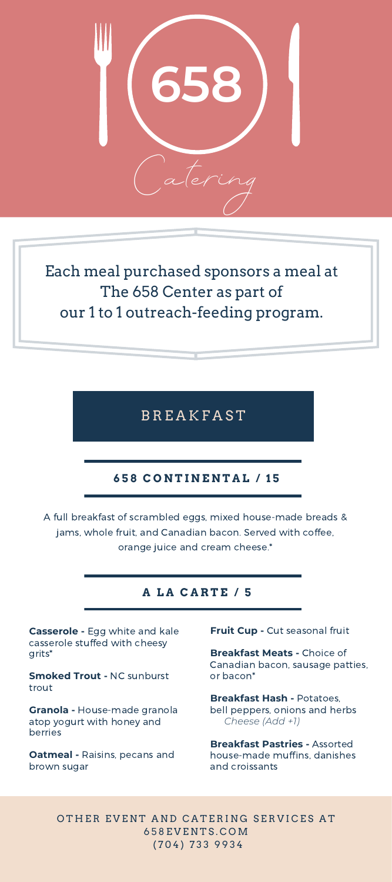

Each meal purchased sponsors a meal at The 658 Center as part of our 1 to 1 outreach-feeding program.

**BREAKFAST** 

# **6 5 8 C O N T I N E N T A L / 1 5**

A full breakfast of scrambled eggs, mixed house-made breads & jams, whole fruit, and Canadian bacon. Served with coffee, orange juice and cream cheese.\*

# **A L A C A R T E / 5**

**Casserole -** Egg white and kale casserole stuffed with cheesy grits\*

**Smoked Trout -** NC sunburst trout

**Granola -** House-made granola atop yogurt with honey and berries

**Oatmeal -** Raisins, pecans and brown sugar

**Fruit Cup -**Cut seasonal fruit

**Breakfast Meats -** Choice of Canadian bacon, sausage patties, or bacon\*

**Breakfast Hash -** Potatoes, bell peppers, onions and herbs *Cheese (Add +1)*

**Breakfast Pastries -** Assorted house-made muffins, danishes and croissants

OTHER EVENT AND CATERING SERVICES AT 6 5 8 E V E N T S . C O M ( 7 0 4 ) 7 3 3 9 9 3 4